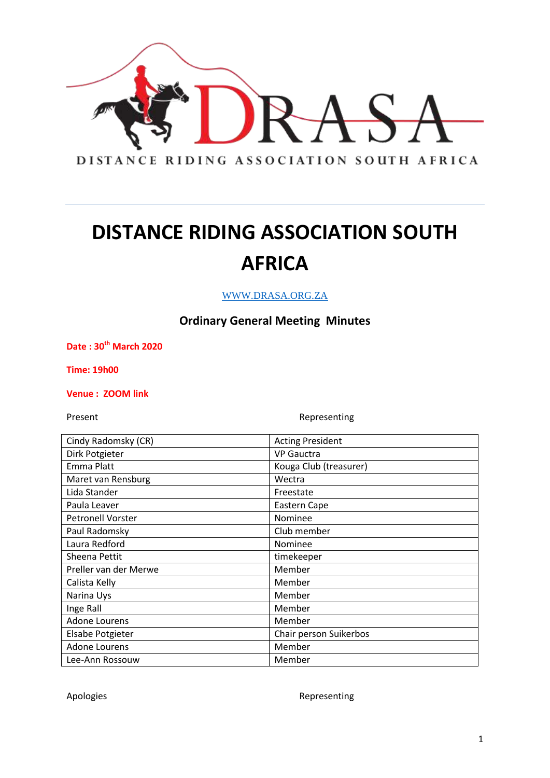

WWW.DRASA.ORG.ZA

### **Ordinary General Meeting Minutes**

**Date : 30th March 2020**

**Time: 19h00**

**Venue : ZOOM link**

Present **Representing** 

| Cindy Radomsky (CR)      | <b>Acting President</b> |
|--------------------------|-------------------------|
| Dirk Potgieter           | <b>VP Gauctra</b>       |
| Emma Platt               | Kouga Club (treasurer)  |
| Maret van Rensburg       | Wectra                  |
| Lida Stander             | Freestate               |
| Paula Leaver             | Eastern Cape            |
| <b>Petronell Vorster</b> | Nominee                 |
| Paul Radomsky            | Club member             |
| Laura Redford            | <b>Nominee</b>          |
| Sheena Pettit            | timekeeper              |
| Preller van der Merwe    | Member                  |
| Calista Kelly            | Member                  |
| Narina Uys               | Member                  |
| Inge Rall                | Member                  |
| <b>Adone Lourens</b>     | Member                  |
| <b>Elsabe Potgieter</b>  | Chair person Suikerbos  |
| <b>Adone Lourens</b>     | Member                  |
| Lee-Ann Rossouw          | Member                  |

Apologies **Representing**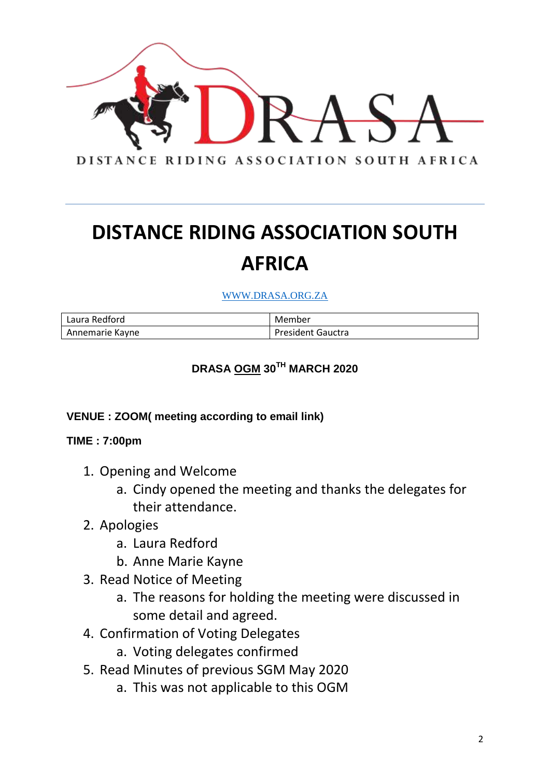

#### WWW.DRASA.ORG.ZA

| Laura Redford   | Member                   |
|-----------------|--------------------------|
| Annemarie Kayne | <b>President Gauctra</b> |

### **DRASA OGM 30TH MARCH 2020**

#### **VENUE : ZOOM( meeting according to email link)**

#### **TIME : 7:00pm**

- 1. Opening and Welcome
	- a. Cindy opened the meeting and thanks the delegates for their attendance.
- 2. Apologies
	- a. Laura Redford
	- b. Anne Marie Kayne
- 3. Read Notice of Meeting
	- a. The reasons for holding the meeting were discussed in some detail and agreed.
- 4. Confirmation of Voting Delegates
	- a. Voting delegates confirmed
- 5. Read Minutes of previous SGM May 2020
	- a. This was not applicable to this OGM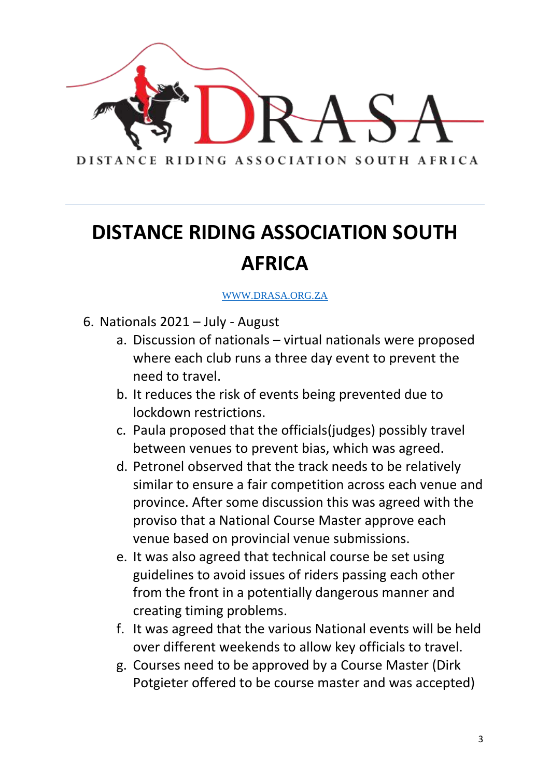

- 6. Nationals 2021 July August
	- a. Discussion of nationals virtual nationals were proposed where each club runs a three day event to prevent the need to travel.
	- b. It reduces the risk of events being prevented due to lockdown restrictions.
	- c. Paula proposed that the officials(judges) possibly travel between venues to prevent bias, which was agreed.
	- d. Petronel observed that the track needs to be relatively similar to ensure a fair competition across each venue and province. After some discussion this was agreed with the proviso that a National Course Master approve each venue based on provincial venue submissions.
	- e. It was also agreed that technical course be set using guidelines to avoid issues of riders passing each other from the front in a potentially dangerous manner and creating timing problems.
	- f. It was agreed that the various National events will be held over different weekends to allow key officials to travel.
	- g. Courses need to be approved by a Course Master (Dirk Potgieter offered to be course master and was accepted)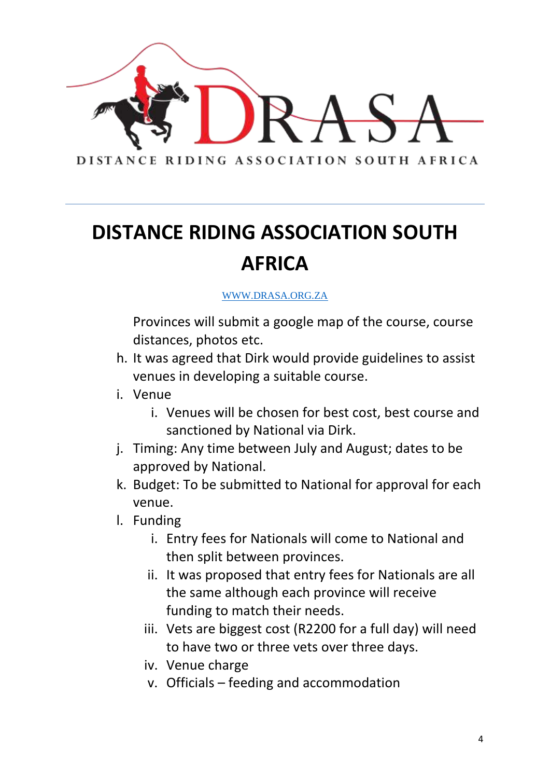

### WWW.DRASA.ORG.ZA

Provinces will submit a google map of the course, course distances, photos etc.

- h. It was agreed that Dirk would provide guidelines to assist venues in developing a suitable course.
- i. Venue
	- i. Venues will be chosen for best cost, best course and sanctioned by National via Dirk.
- j. Timing: Any time between July and August; dates to be approved by National.
- k. Budget: To be submitted to National for approval for each venue.
- l. Funding
	- i. Entry fees for Nationals will come to National and then split between provinces.
	- ii. It was proposed that entry fees for Nationals are all the same although each province will receive funding to match their needs.
	- iii. Vets are biggest cost (R2200 for a full day) will need to have two or three vets over three days.
	- iv. Venue charge
	- v. Officials feeding and accommodation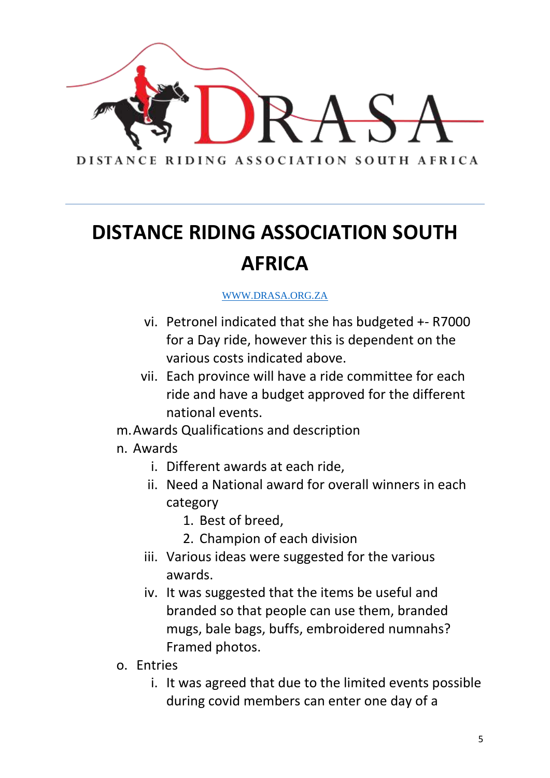

- vi. Petronel indicated that she has budgeted +- R7000 for a Day ride, however this is dependent on the various costs indicated above.
- vii. Each province will have a ride committee for each ride and have a budget approved for the different national events.
- m.Awards Qualifications and description
- n. Awards
	- i. Different awards at each ride,
	- ii. Need a National award for overall winners in each category
		- 1. Best of breed,
		- 2. Champion of each division
	- iii. Various ideas were suggested for the various awards.
	- iv. It was suggested that the items be useful and branded so that people can use them, branded mugs, bale bags, buffs, embroidered numnahs? Framed photos.
- o. Entries
	- i. It was agreed that due to the limited events possible during covid members can enter one day of a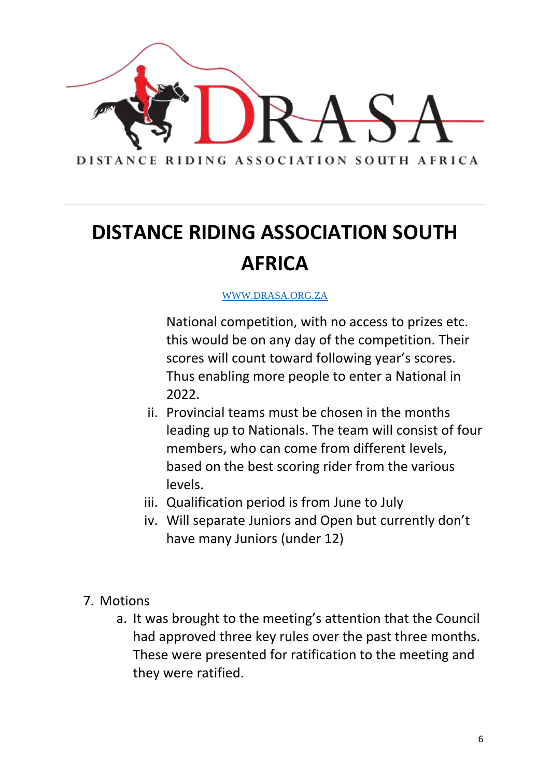

### WWW.DRASA.ORG.ZA

National competition, with no access to prizes etc. this would be on any day of the competition. Their scores will count toward following year's scores. Thus enabling more people to enter a National in 2022.

- ii. Provincial teams must be chosen in the months leading up to Nationals. The team will consist of four members, who can come from different levels, based on the best scoring rider from the various levels.
- iii. Qualification period is from June to July
- iv. Will separate Juniors and Open but currently don't have many Juniors (under 12)
- 7. Motions
	- a. It was brought to the meeting's attention that the Council had approved three key rules over the past three months. These were presented for ratification to the meeting and they were ratified.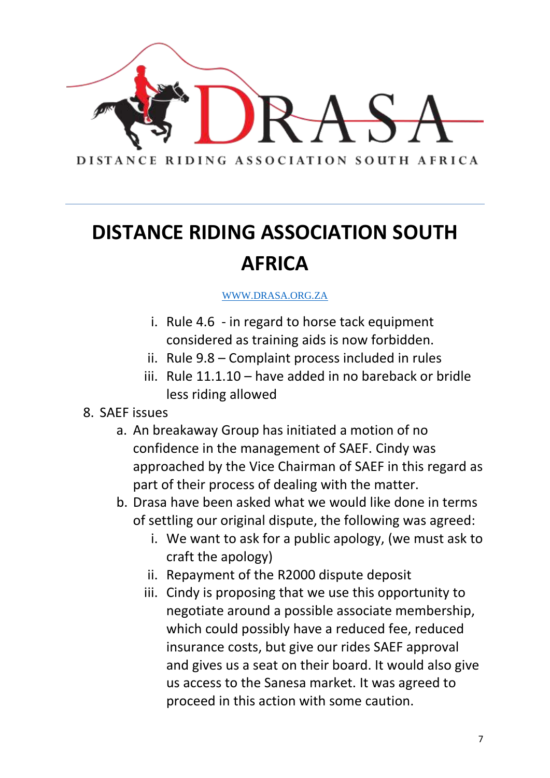

- i. Rule 4.6 in regard to horse tack equipment considered as training aids is now forbidden.
- ii. Rule 9.8 Complaint process included in rules
- iii. Rule 11.1.10 have added in no bareback or bridle less riding allowed
- 8. SAEF issues
	- a. An breakaway Group has initiated a motion of no confidence in the management of SAEF. Cindy was approached by the Vice Chairman of SAEF in this regard as part of their process of dealing with the matter.
	- b. Drasa have been asked what we would like done in terms of settling our original dispute, the following was agreed:
		- i. We want to ask for a public apology, (we must ask to craft the apology)
		- ii. Repayment of the R2000 dispute deposit
		- iii. Cindy is proposing that we use this opportunity to negotiate around a possible associate membership, which could possibly have a reduced fee, reduced insurance costs, but give our rides SAEF approval and gives us a seat on their board. It would also give us access to the Sanesa market. It was agreed to proceed in this action with some caution.